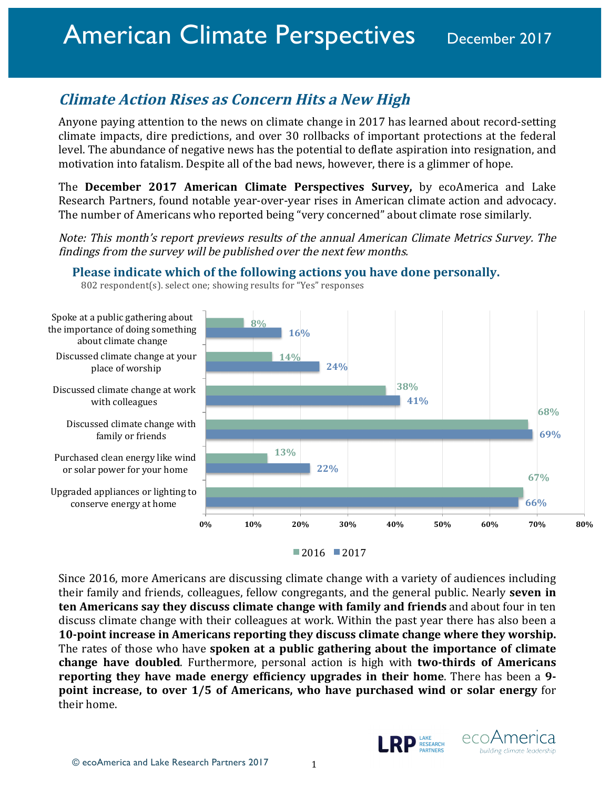# **Climate Action Rises as Concern Hits a New High**

Anyone paying attention to the news on climate change in 2017 has learned about record-setting climate impacts, dire predictions, and over 30 rollbacks of important protections at the federal level. The abundance of negative news has the potential to deflate aspiration into resignation, and motivation into fatalism. Despite all of the bad news, however, there is a glimmer of hope.

**The December 2017 American Climate Perspectives Survey,** by ecoAmerica and Lake Research Partners, found notable year-over-year rises in American climate action and advocacy. The number of Americans who reported being "very concerned" about climate rose similarly.

Note: This month's report previews results of the annual American Climate Metrics Survey. The findings from the survey will be published over the next few months.

### **Please indicate which of the following actions you have done personally.**



<sup>802</sup> respondent(s). select one; showing results for "Yes" responses



Since 2016, more Americans are discussing climate change with a variety of audiences including their family and friends, colleagues, fellow congregants, and the general public. Nearly **seven in ten Americans say they discuss climate change with family and friends** and about four in ten discuss climate change with their colleagues at work. Within the past year there has also been a **10-point increase in Americans reporting they discuss climate change where they worship.** The rates of those who have **spoken at a public gathering about the importance of climate change have doubled.** Furthermore, personal action is high with **two-thirds of Americans reporting they have made energy efficiency upgrades in their home**. There has been a 9**point increase, to over 1/5 of Americans, who have purchased wind or solar energy** for their home.